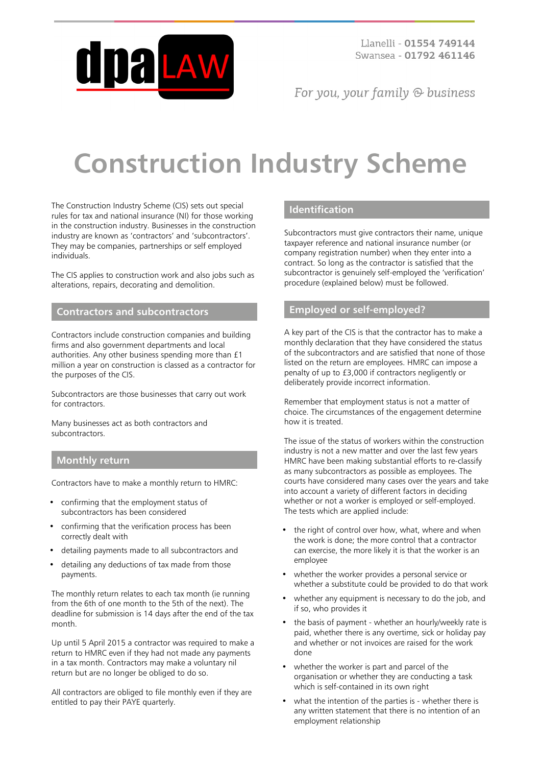

Llanelli - 01554 749144 Swansea - 01792 461146

For you, your family  $\odot$  business

# **Construction Industry Scheme**

The Construction Industry Scheme (CIS) sets out special rules for tax and national insurance (NI) for those working in the construction industry. Businesses in the construction industry are known as 'contractors' and 'subcontractors'. They may be companies, partnerships or self employed individuals.

The CIS applies to construction work and also jobs such as alterations, repairs, decorating and demolition.

## **Contractors and subcontractors**

Contractors include construction companies and building firms and also government departments and local authorities. Any other business spending more than £1 million a year on construction is classed as a contractor for the purposes of the CIS.

Subcontractors are those businesses that carry out work for contractors.

Many businesses act as both contractors and subcontractors.

#### **Monthly return**

Contractors have to make a monthly return to HMRC:

- confirming that the employment status of subcontractors has been considered
- confirming that the verification process has been correctly dealt with
- detailing payments made to all subcontractors and
- detailing any deductions of tax made from those payments.

The monthly return relates to each tax month (ie running from the 6th of one month to the 5th of the next). The deadline for submission is 14 days after the end of the tax month.

Up until 5 April 2015 a contractor was required to make a return to HMRC even if they had not made any payments in a tax month. Contractors may make a voluntary nil return but are no longer be obliged to do so.

All contractors are obliged to file monthly even if they are entitled to pay their PAYE quarterly.

# **Identification**

Subcontractors must give contractors their name, unique taxpayer reference and national insurance number (or company registration number) when they enter into a contract. So long as the contractor is satisfied that the subcontractor is genuinely self-employed the 'verification' procedure (explained below) must be followed.

# **Employed or self-employed?**

A key part of the CIS is that the contractor has to make a monthly declaration that they have considered the status of the subcontractors and are satisfied that none of those listed on the return are employees. HMRC can impose a penalty of up to £3,000 if contractors negligently or deliberately provide incorrect information.

Remember that employment status is not a matter of choice. The circumstances of the engagement determine how it is treated.

The issue of the status of workers within the construction industry is not a new matter and over the last few years HMRC have been making substantial efforts to re-classify as many subcontractors as possible as employees. The courts have considered many cases over the years and take into account a variety of different factors in deciding whether or not a worker is employed or self-employed. The tests which are applied include:

- the right of control over how, what, where and when the work is done; the more control that a contractor can exercise, the more likely it is that the worker is an employee
- whether the worker provides a personal service or whether a substitute could be provided to do that work
- whether any equipment is necessary to do the job, and if so, who provides it
- the basis of payment whether an hourly/weekly rate is paid, whether there is any overtime, sick or holiday pay and whether or not invoices are raised for the work done
- whether the worker is part and parcel of the organisation or whether they are conducting a task which is self-contained in its own right
- what the intention of the parties is whether there is any written statement that there is no intention of an employment relationship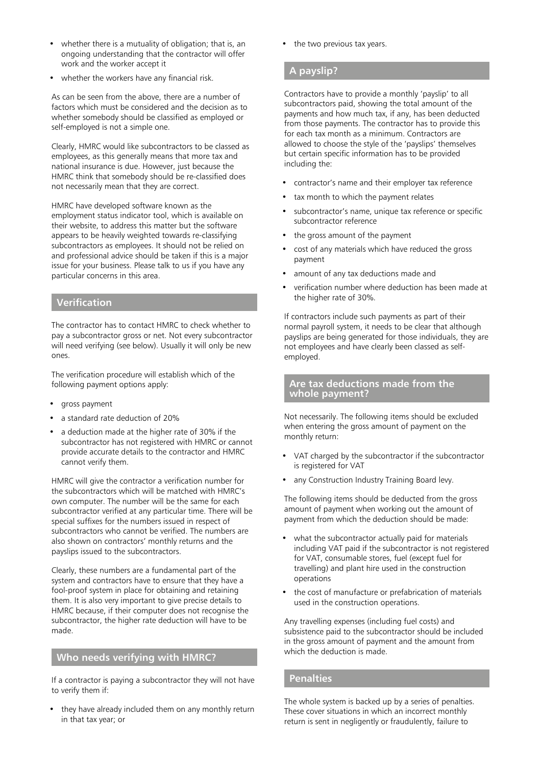- whether there is a mutuality of obligation; that is, an ongoing understanding that the contractor will offer work and the worker accept it
- whether the workers have any financial risk.

As can be seen from the above, there are a number of factors which must be considered and the decision as to whether somebody should be classified as employed or self-employed is not a simple one.

Clearly, HMRC would like subcontractors to be classed as employees, as this generally means that more tax and national insurance is due. However, just because the HMRC think that somebody should be re-classified does not necessarily mean that they are correct.

HMRC have developed software known as the employment status indicator tool, which is available on their website, to address this matter but the software appears to be heavily weighted towards re-classifying subcontractors as employees. It should not be relied on and professional advice should be taken if this is a major issue for your business. Please talk to us if you have any particular concerns in this area.

#### **Verification**

The contractor has to contact HMRC to check whether to pay a subcontractor gross or net. Not every subcontractor will need verifying (see below). Usually it will only be new ones.

The verification procedure will establish which of the following payment options apply:

- gross payment
- a standard rate deduction of 20%
- a deduction made at the higher rate of 30% if the subcontractor has not registered with HMRC or cannot provide accurate details to the contractor and HMRC cannot verify them.

HMRC will give the contractor a verification number for the subcontractors which will be matched with HMRC's own computer. The number will be the same for each subcontractor verified at any particular time. There will be special suffixes for the numbers issued in respect of subcontractors who cannot be verified. The numbers are also shown on contractors' monthly returns and the payslips issued to the subcontractors.

Clearly, these numbers are a fundamental part of the system and contractors have to ensure that they have a fool-proof system in place for obtaining and retaining them. It is also very important to give precise details to HMRC because, if their computer does not recognise the subcontractor, the higher rate deduction will have to be made.

#### **Who needs verifying with HMRC?**

If a contractor is paying a subcontractor they will not have to verify them if:

• they have already included them on any monthly return in that tax year; or

the two previous tax years.

## **A payslip?**

Contractors have to provide a monthly 'payslip' to all subcontractors paid, showing the total amount of the payments and how much tax, if any, has been deducted from those payments. The contractor has to provide this for each tax month as a minimum. Contractors are allowed to choose the style of the 'payslips' themselves but certain specific information has to be provided including the:

- contractor's name and their employer tax reference
- tax month to which the payment relates
- subcontractor's name, unique tax reference or specific subcontractor reference
- the gross amount of the payment
- cost of any materials which have reduced the gross payment
- amount of any tax deductions made and
- verification number where deduction has been made at the higher rate of 30%.

If contractors include such payments as part of their normal payroll system, it needs to be clear that although payslips are being generated for those individuals, they are not employees and have clearly been classed as selfemployed.

#### **Are tax deductions made from the whole payment?**

Not necessarily. The following items should be excluded when entering the gross amount of payment on the monthly return:

- VAT charged by the subcontractor if the subcontractor is registered for VAT
- any Construction Industry Training Board levy.

The following items should be deducted from the gross amount of payment when working out the amount of payment from which the deduction should be made:

- what the subcontractor actually paid for materials including VAT paid if the subcontractor is not registered for VAT, consumable stores, fuel (except fuel for travelling) and plant hire used in the construction operations
- the cost of manufacture or prefabrication of materials used in the construction operations.

Any travelling expenses (including fuel costs) and subsistence paid to the subcontractor should be included in the gross amount of payment and the amount from which the deduction is made.

### **Penalties**

The whole system is backed up by a series of penalties. These cover situations in which an incorrect monthly return is sent in negligently or fraudulently, failure to